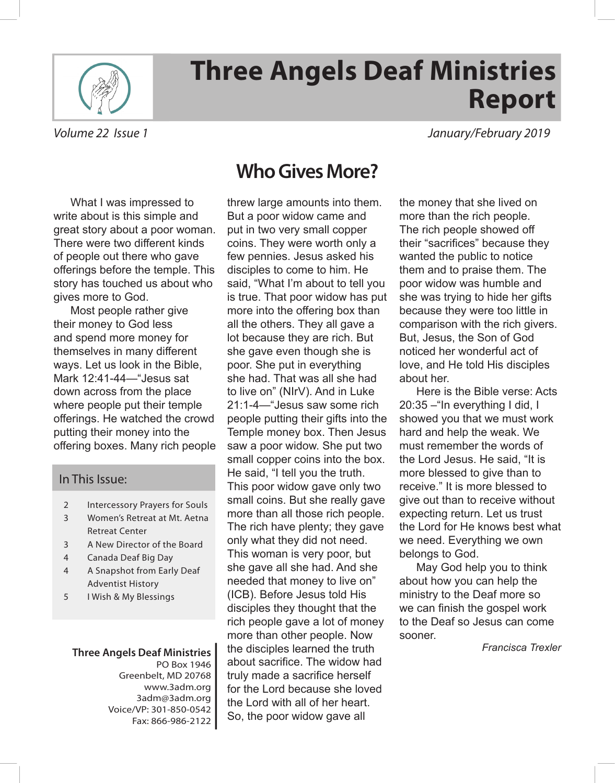

# **Three Angels Deaf Ministries Report**

*Volume 22 Issue 1 January/February 2019*

What I was impressed to write about is this simple and great story about a poor woman. There were two different kinds of people out there who gave offerings before the temple. This story has touched us about who gives more to God.

Most people rather give their money to God less and spend more money for themselves in many different ways. Let us look in the Bible, Mark 12:41-44—"Jesus sat down across from the place where people put their temple offerings. He watched the crowd putting their money into the offering boxes. Many rich people

#### In This Issue:

- 2 Intercessory Prayers for Souls
- 3 Women's Retreat at Mt. Aetna Retreat Center
- 3 A New Director of the Board
- 4 Canada Deaf Big Day
- 4 A Snapshot from Early Deaf Adventist History
- 5 I Wish & My Blessings

#### **Three Angels Deaf Ministries** PO Box 1946 Greenbelt, MD 20768 www.3adm.org 3adm@3adm.org Voice/VP: 301-850-0542 Fax: 866-986-2122

### **Who Gives More?**

threw large amounts into them. But a poor widow came and put in two very small copper coins. They were worth only a few pennies. Jesus asked his disciples to come to him. He said, "What I'm about to tell you is true. That poor widow has put more into the offering box than all the others. They all gave a lot because they are rich. But she gave even though she is poor. She put in everything she had. That was all she had to live on" (NIrV). And in Luke 21:1-4—"Jesus saw some rich people putting their gifts into the Temple money box. Then Jesus saw a poor widow. She put two small copper coins into the box. He said, "I tell you the truth. This poor widow gave only two small coins. But she really gave more than all those rich people. The rich have plenty; they gave only what they did not need. This woman is very poor, but she gave all she had. And she needed that money to live on" (ICB). Before Jesus told His disciples they thought that the rich people gave a lot of money more than other people. Now the disciples learned the truth about sacrifce. The widow had truly made a sacrifice herself for the Lord because she loved the Lord with all of her heart. So, the poor widow gave all

the money that she lived on more than the rich people. The rich people showed off their "sacrifices" because they wanted the public to notice them and to praise them. The poor widow was humble and she was trying to hide her gifts because they were too little in comparison with the rich givers. But, Jesus, the Son of God noticed her wonderful act of love, and He told His disciples about her.

Here is the Bible verse: Acts 20:35 –"In everything I did, I showed you that we must work hard and help the weak. We must remember the words of the Lord Jesus. He said, "It is more blessed to give than to receive." It is more blessed to give out than to receive without expecting return. Let us trust the Lord for He knows best what we need. Everything we own belongs to God.

May God help you to think about how you can help the ministry to the Deaf more so we can finish the gospel work to the Deaf so Jesus can come sooner.

*Francisca Trexler*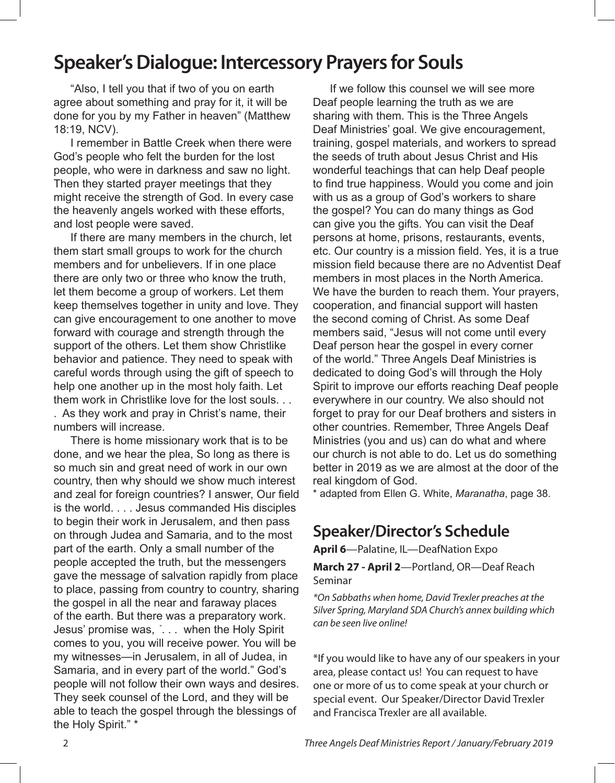### **Speaker's Dialogue: Intercessory Prayers for Souls**

"Also, I tell you that if two of you on earth agree about something and pray for it, it will be done for you by my Father in heaven" (Matthew 18:19, NCV).

I remember in Battle Creek when there were God's people who felt the burden for the lost people, who were in darkness and saw no light. Then they started prayer meetings that they might receive the strength of God. In every case the heavenly angels worked with these efforts, and lost people were saved.

If there are many members in the church, let them start small groups to work for the church members and for unbelievers. If in one place there are only two or three who know the truth, let them become a group of workers. Let them keep themselves together in unity and love. They can give encouragement to one another to move forward with courage and strength through the support of the others. Let them show Christlike behavior and patience. They need to speak with careful words through using the gift of speech to help one another up in the most holy faith. Let them work in Christlike love for the lost souls. . As they work and pray in Christ's name, their

numbers will increase.

There is home missionary work that is to be done, and we hear the plea, So long as there is so much sin and great need of work in our own country, then why should we show much interest and zeal for foreign countries? I answer, Our field is the world. . . . Jesus commanded His disciples to begin their work in Jerusalem, and then pass on through Judea and Samaria, and to the most part of the earth. Only a small number of the people accepted the truth, but the messengers gave the message of salvation rapidly from place to place, passing from country to country, sharing the gospel in all the near and faraway places of the earth. But there was a preparatory work. Jesus' promise was, " . . . when the Holy Spirit comes to you, you will receive power. You will be my witnesses—in Jerusalem, in all of Judea, in Samaria, and in every part of the world." God's people will not follow their own ways and desires. They seek counsel of the Lord, and they will be able to teach the gospel through the blessings of the Holy Spirit." \*

If we follow this counsel we will see more Deaf people learning the truth as we are sharing with them. This is the Three Angels Deaf Ministries' goal. We give encouragement, training, gospel materials, and workers to spread the seeds of truth about Jesus Christ and His wonderful teachings that can help Deaf people to fnd true happiness. Would you come and join with us as a group of God's workers to share the gospel? You can do many things as God can give you the gifts. You can visit the Deaf persons at home, prisons, restaurants, events, etc. Our country is a mission feld. Yes, it is a true mission field because there are no Adventist Deaf members in most places in the North America. We have the burden to reach them. Your prayers, cooperation, and fnancial support will hasten the second coming of Christ. As some Deaf members said, "Jesus will not come until every Deaf person hear the gospel in every corner of the world." Three Angels Deaf Ministries is dedicated to doing God's will through the Holy Spirit to improve our efforts reaching Deaf people everywhere in our country. We also should not forget to pray for our Deaf brothers and sisters in other countries. Remember, Three Angels Deaf Ministries (you and us) can do what and where our church is not able to do. Let us do something better in 2019 as we are almost at the door of the real kingdom of God.

\* adapted from Ellen G. White, *Maranatha*, page 38.

#### **Speaker/Director's Schedule**

**April 6**—Palatine, IL—DeafNation Expo

**March 27 - April 2**—Portland, OR—Deaf Reach Seminar

*\*On Sabbaths when home, David Trexler preaches at the Silver Spring, Maryland SDA Church's annex building which can be seen live online!* 

\*If you would like to have any of our speakers in your area, please contact us! You can request to have one or more of us to come speak at your church or special event. Our Speaker/Director David Trexler and Francisca Trexler are all available.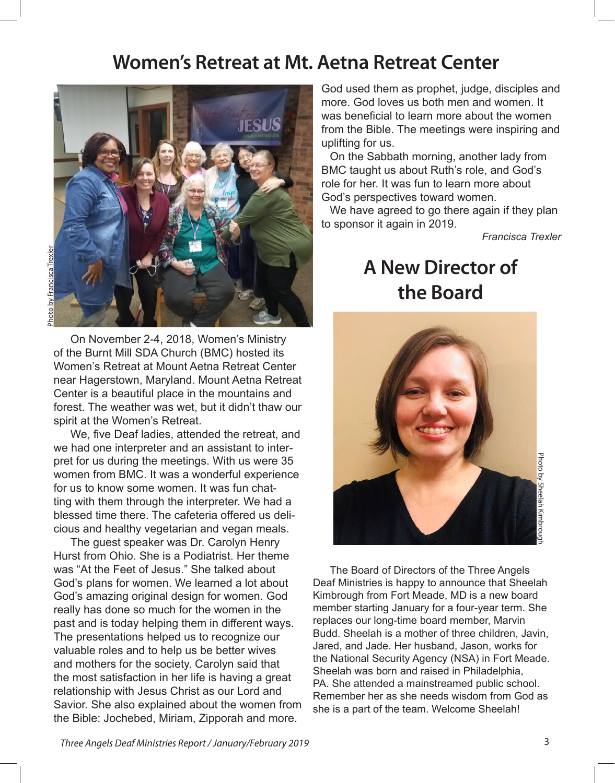#### **Women's Retreat at Mt. Aetna Retreat Center**



On November 2-4, 2018, Women's Ministry of the Burnt Mill SDA Church (BMC) hosted its Women's Retreat at Mount Aetna Retreat Center near Hagerstown, Maryland. Mount Aetna Retreat Center is a beautiful place in the mountains and forest. The weather was wet, but it didn't thaw our spirit at the Women's Retreat.

We, five Deaf ladies, attended the retreat, and we had one interpreter and an assistant to interpret for us during the meetings. With us were 35 women from BMC. It was a wonderful experience for us to know some women. It was fun chatting with them through the interpreter. We had a blessed time there. The cafeteria offered us delicious and healthy vegetarian and vegan meals.

The guest speaker was Dr. Carolyn Henry Hurst from Ohio. She is a Podiatrist. Her theme was "At the Feet of Jesus." She talked about God's plans for women. We learned a lot about God's amazing original design for women. God really has done so much for the women in the past and is today helping them in different ways. The presentations helped us to recognize our valuable roles and to help us be better wives and mothers for the society. Carolyn said that the most satisfaction in her life is having a great relationship with Jesus Christ as our Lord and Savior. She also explained about the women from the Bible: Jochebed, Miriam, Zipporah and more.

God used them as prophet, judge, disciples and more. God loves us both men and women. It was beneficial to learn more about the women from the Bible. The meetings were inspiring and uplifting for us.

On the Sabbath morning, another lady from BMC taught us about Ruth's role, and God's role for her. It was fun to learn more about God's perspectives toward women.

We have agreed to go there again if they plan to sponsor it again in 2019.

*Francisca Trexler*

### **A New Director of the Board**



The Board of Directors of the Three Angels Deaf Ministries is happy to announce that Sheelah Kimbrough from Fort Meade, MD is a new board member starting January for a four-year term. She replaces our long-time board member, Marvin Budd. Sheelah is a mother of three children, Javin, Jared, and Jade. Her husband, Jason, works for the National Security Agency (NSA) in Fort Meade. Sheelah was born and raised in Philadelphia, PA. She attended a mainstreamed public school. Remember her as she needs wisdom from God as she is a part of the team. Welcome Sheelah!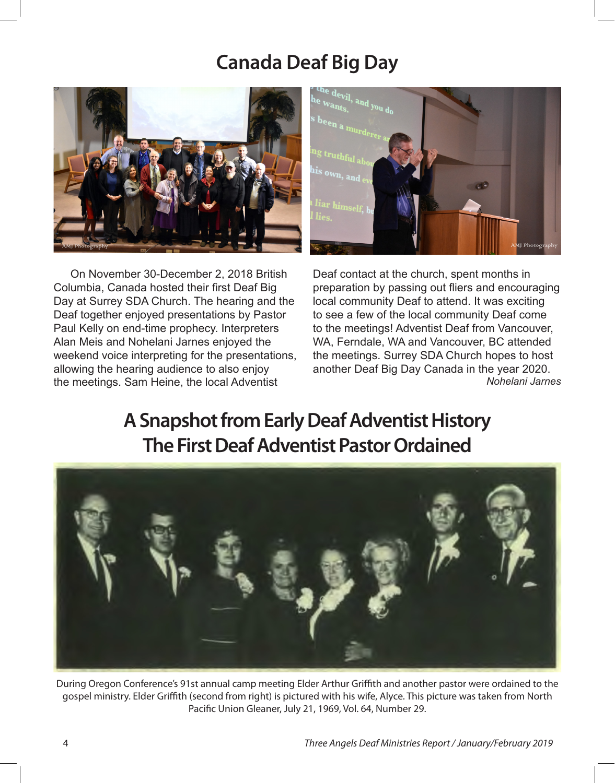### **Canada Deaf Big Day**



On November 30-December 2, 2018 British Columbia, Canada hosted their first Deaf Big Day at Surrey SDA Church. The hearing and the Deaf together enjoyed presentations by Pastor Paul Kelly on end-time prophecy. Interpreters Alan Meis and Nohelani Jarnes enjoyed the weekend voice interpreting for the presentations, allowing the hearing audience to also enjoy the meetings. Sam Heine, the local Adventist



Deaf contact at the church, spent months in preparation by passing out fiers and encouraging local community Deaf to attend. It was exciting to see a few of the local community Deaf come to the meetings! Adventist Deaf from Vancouver, WA, Ferndale, WA and Vancouver, BC attended the meetings. Surrey SDA Church hopes to host another Deaf Big Day Canada in the year 2020. *Nohelani Jarnes*

### **A Snapshot from Early Deaf Adventist History The First Deaf Adventist Pastor Ordained**



During Oregon Conference's 91st annual camp meeting Elder Arthur Grifth and another pastor were ordained to the gospel ministry. Elder Grifth (second from right) is pictured with his wife, Alyce. This picture was taken from North Pacifc Union Gleaner, July 21, 1969, Vol. 64, Number 29.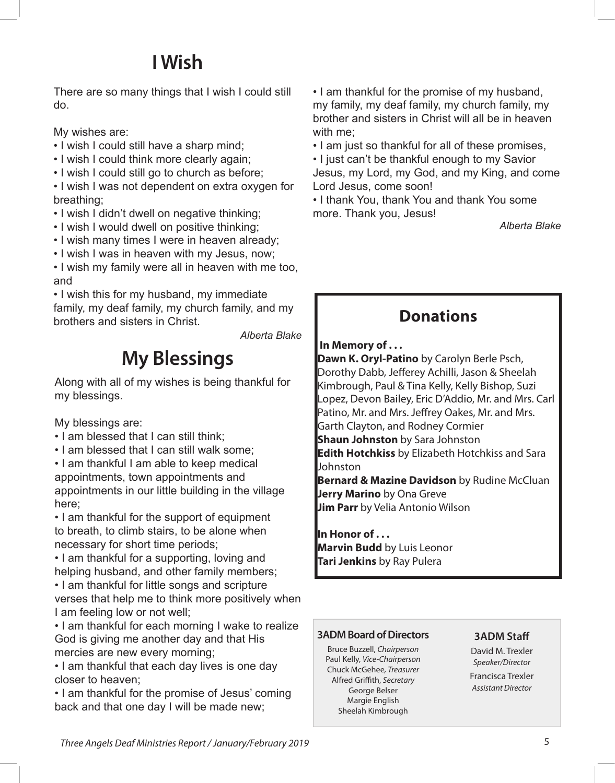## **I Wish**

There are so many things that I wish I could still do.

My wishes are:

- I wish I could still have a sharp mind;
- I wish I could think more clearly again;
- I wish I could still go to church as before;

• I wish I was not dependent on extra oxygen for breathing;

- I wish I didn't dwell on negative thinking;
- I wish I would dwell on positive thinking;
- I wish many times I were in heaven already;
- I wish I was in heaven with my Jesus, now;

• I wish my family were all in heaven with me too, and

• I wish this for my husband, my immediate family, my deaf family, my church family, and my brothers and sisters in Christ.

*Alberta Blake*

## **My Blessings**

Along with all of my wishes is being thankful for my blessings.

My blessings are:

- I am blessed that I can still think;
- I am blessed that I can still walk some;

• I am thankful I am able to keep medical appointments, town appointments and appointments in our little building in the village here;

• I am thankful for the support of equipment to breath, to climb stairs, to be alone when necessary for short time periods;

• I am thankful for a supporting, loving and helping husband, and other family members;

• I am thankful for little songs and scripture verses that help me to think more positively when I am feeling low or not well;

• I am thankful for each morning I wake to realize God is giving me another day and that His mercies are new every morning;

• I am thankful that each day lives is one day closer to heaven;

• I am thankful for the promise of Jesus' coming back and that one day I will be made new;

• I am thankful for the promise of my husband, my family, my deaf family, my church family, my brother and sisters in Christ will all be in heaven with me;

• I am just so thankful for all of these promises,

• I just can't be thankful enough to my Savior Jesus, my Lord, my God, and my King, and come Lord Jesus, come soon!

• I thank You, thank You and thank You some more. Thank you, Jesus!

*Alberta Blake*

#### **Donations**

#### **In Memory of . . .**

**Dawn K. Oryl-Patino** by Carolyn Berle Psch, Dorothy Dabb, Jeferey Achilli, Jason & Sheelah Kimbrough, Paul & Tina Kelly, Kelly Bishop, Suzi Lopez, Devon Bailey, Eric D'Addio, Mr. and Mrs. Carl Patino, Mr. and Mrs. Jefrey Oakes, Mr. and Mrs. Garth Clayton, and Rodney Cormier **Shaun Johnston** by Sara Johnston **Edith Hotchkiss** by Elizabeth Hotchkiss and Sara Johnston **Bernard & Mazine Davidson** by Rudine McCluan **Jerry Marino** by Ona Greve **Jim Parr** by Velia Antonio Wilson

**In Honor of . . . Marvin Budd** by Luis Leonor **Tari Jenkins** by Ray Pulera

#### **3ADM Board of Directors**

Bruce Buzzell, *Chairperson* Paul Kelly, *Vice-Chairperson* Chuck McGehee*, Treasurer* Alfred Grifth, *Secretary* George Belser Margie English Sheelah Kimbrough

#### **3ADM Staf**

David M. Trexler *Speaker/Director* Francisca Trexler *Assistant Director*